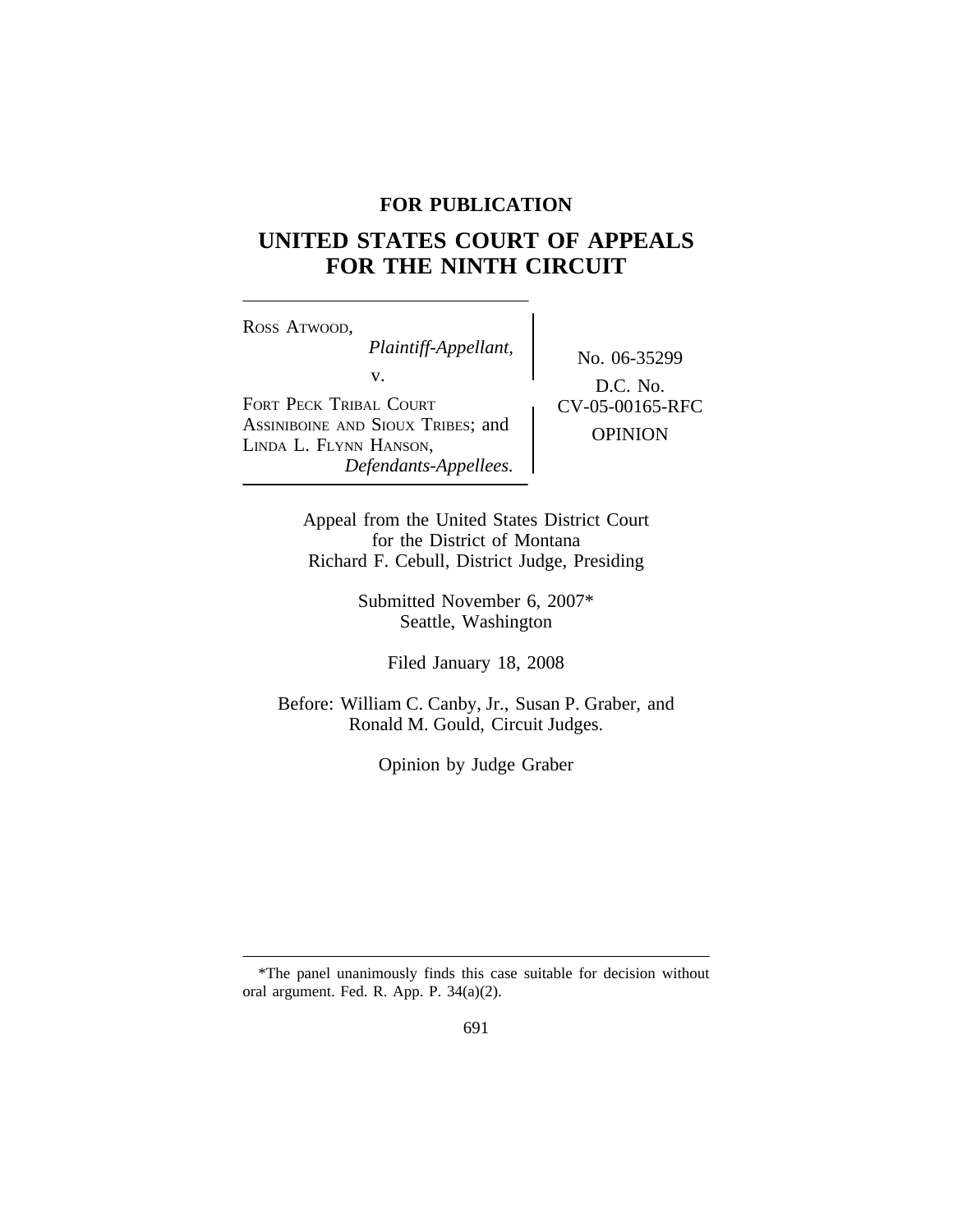# **FOR PUBLICATION**

# **UNITED STATES COURT OF APPEALS FOR THE NINTH CIRCUIT**

<sup>R</sup>OSS ATWOOD, *Plaintiff-Appellant,* No. 06-35299 v. FORT PECK TRIBAL COURT **CV-05-00165-RFC** ASSINIBOINE AND SIOUX TRIBES; and **OPINION** LINDA L. FLYNN HANSON, *Defendants-Appellees.*

D.C. No.

Appeal from the United States District Court for the District of Montana Richard F. Cebull, District Judge, Presiding

> Submitted November 6, 2007\* Seattle, Washington

> > Filed January 18, 2008

Before: William C. Canby, Jr., Susan P. Graber, and Ronald M. Gould, Circuit Judges.

Opinion by Judge Graber

<sup>\*</sup>The panel unanimously finds this case suitable for decision without oral argument. Fed. R. App. P. 34(a)(2).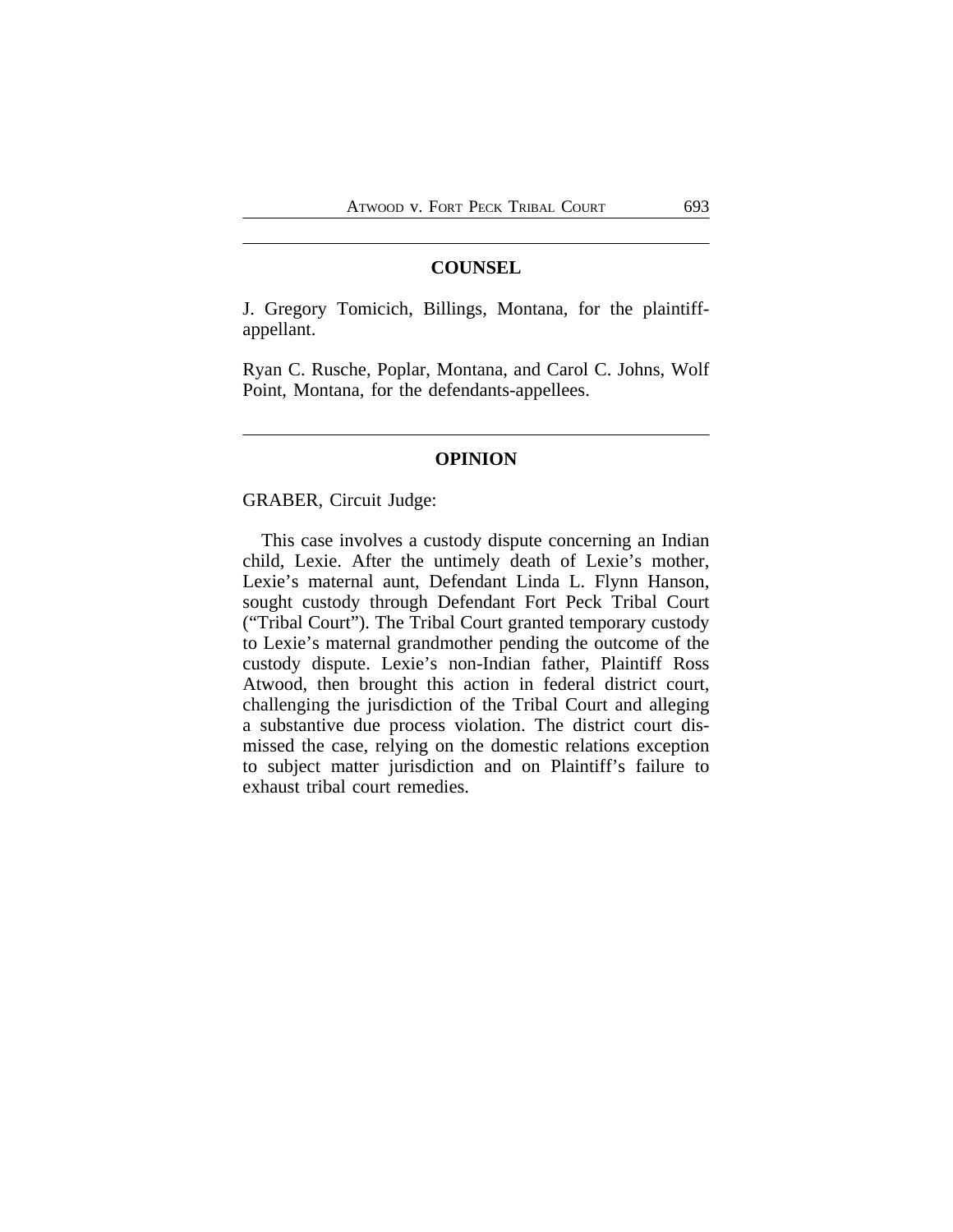#### **COUNSEL**

J. Gregory Tomicich, Billings, Montana, for the plaintiffappellant.

Ryan C. Rusche, Poplar, Montana, and Carol C. Johns, Wolf Point, Montana, for the defendants-appellees.

#### **OPINION**

GRABER, Circuit Judge:

This case involves a custody dispute concerning an Indian child, Lexie. After the untimely death of Lexie's mother, Lexie's maternal aunt, Defendant Linda L. Flynn Hanson, sought custody through Defendant Fort Peck Tribal Court ("Tribal Court"). The Tribal Court granted temporary custody to Lexie's maternal grandmother pending the outcome of the custody dispute. Lexie's non-Indian father, Plaintiff Ross Atwood, then brought this action in federal district court, challenging the jurisdiction of the Tribal Court and alleging a substantive due process violation. The district court dismissed the case, relying on the domestic relations exception to subject matter jurisdiction and on Plaintiff's failure to exhaust tribal court remedies.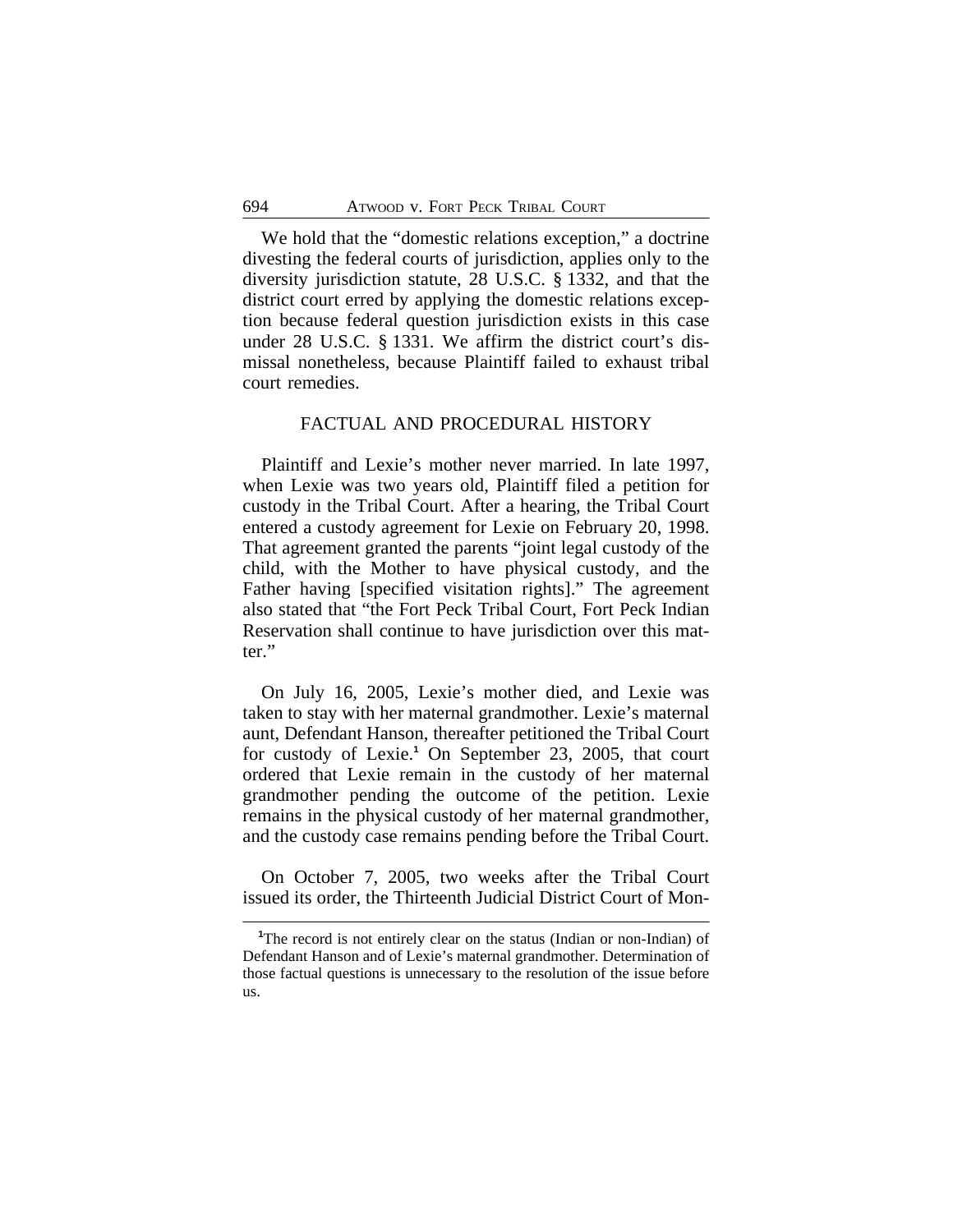We hold that the "domestic relations exception," a doctrine divesting the federal courts of jurisdiction, applies only to the diversity jurisdiction statute, 28 U.S.C. § 1332, and that the district court erred by applying the domestic relations exception because federal question jurisdiction exists in this case under 28 U.S.C. § 1331. We affirm the district court's dismissal nonetheless, because Plaintiff failed to exhaust tribal court remedies.

## FACTUAL AND PROCEDURAL HISTORY

Plaintiff and Lexie's mother never married. In late 1997, when Lexie was two years old, Plaintiff filed a petition for custody in the Tribal Court. After a hearing, the Tribal Court entered a custody agreement for Lexie on February 20, 1998. That agreement granted the parents "joint legal custody of the child, with the Mother to have physical custody, and the Father having [specified visitation rights]." The agreement also stated that "the Fort Peck Tribal Court, Fort Peck Indian Reservation shall continue to have jurisdiction over this matter."

On July 16, 2005, Lexie's mother died, and Lexie was taken to stay with her maternal grandmother. Lexie's maternal aunt, Defendant Hanson, thereafter petitioned the Tribal Court for custody of Lexie.**<sup>1</sup>** On September 23, 2005, that court ordered that Lexie remain in the custody of her maternal grandmother pending the outcome of the petition. Lexie remains in the physical custody of her maternal grandmother, and the custody case remains pending before the Tribal Court.

On October 7, 2005, two weeks after the Tribal Court issued its order, the Thirteenth Judicial District Court of Mon-

<sup>&</sup>lt;sup>1</sup>The record is not entirely clear on the status (Indian or non-Indian) of Defendant Hanson and of Lexie's maternal grandmother. Determination of those factual questions is unnecessary to the resolution of the issue before us.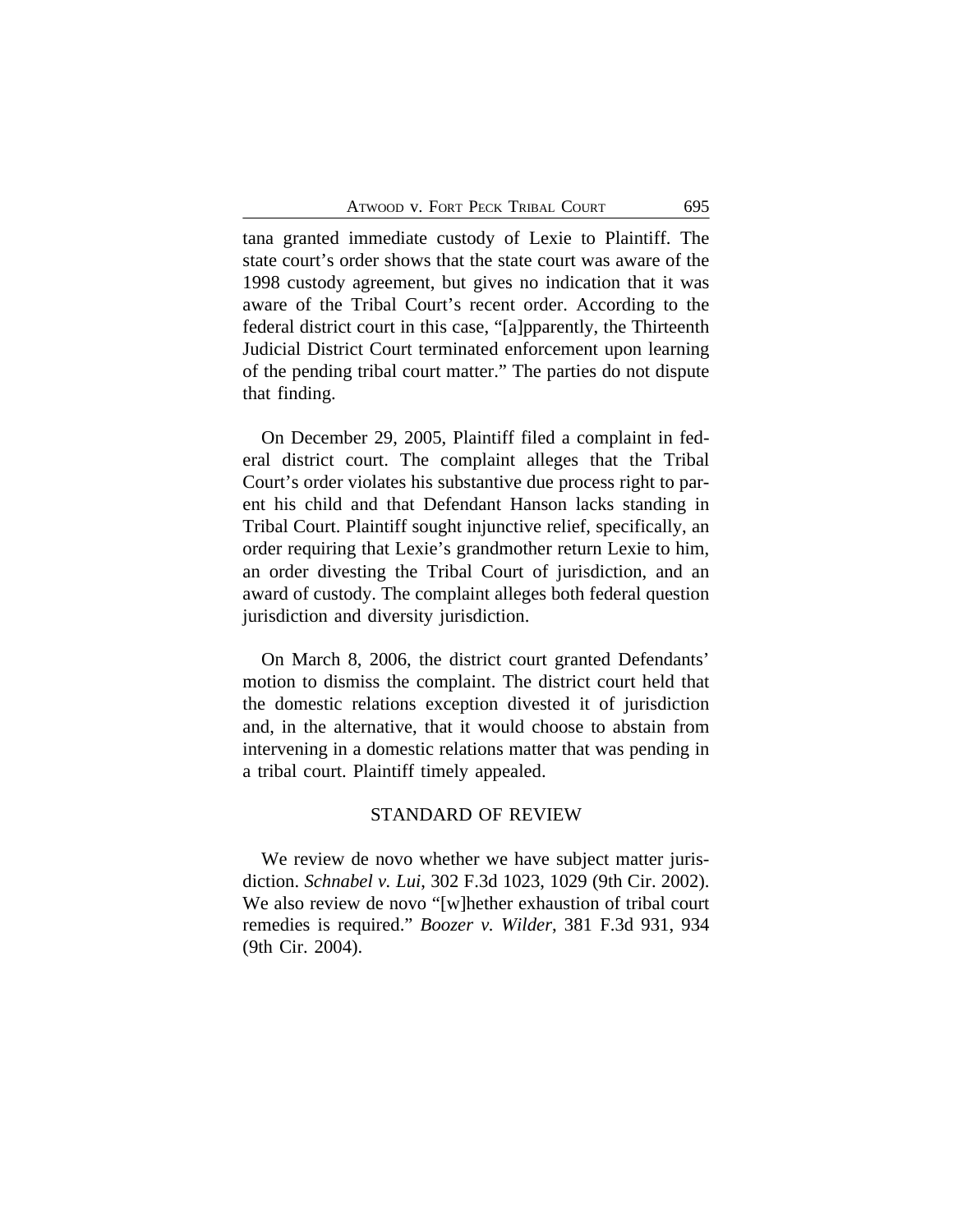tana granted immediate custody of Lexie to Plaintiff. The state court's order shows that the state court was aware of the 1998 custody agreement, but gives no indication that it was aware of the Tribal Court's recent order. According to the federal district court in this case, "[a]pparently, the Thirteenth Judicial District Court terminated enforcement upon learning of the pending tribal court matter." The parties do not dispute that finding.

On December 29, 2005, Plaintiff filed a complaint in federal district court. The complaint alleges that the Tribal Court's order violates his substantive due process right to parent his child and that Defendant Hanson lacks standing in Tribal Court. Plaintiff sought injunctive relief, specifically, an order requiring that Lexie's grandmother return Lexie to him, an order divesting the Tribal Court of jurisdiction, and an award of custody. The complaint alleges both federal question jurisdiction and diversity jurisdiction.

On March 8, 2006, the district court granted Defendants' motion to dismiss the complaint. The district court held that the domestic relations exception divested it of jurisdiction and, in the alternative, that it would choose to abstain from intervening in a domestic relations matter that was pending in a tribal court. Plaintiff timely appealed.

### STANDARD OF REVIEW

We review de novo whether we have subject matter jurisdiction. *Schnabel v. Lui*, 302 F.3d 1023, 1029 (9th Cir. 2002). We also review de novo "[w]hether exhaustion of tribal court remedies is required." *Boozer v. Wilder*, 381 F.3d 931, 934 (9th Cir. 2004).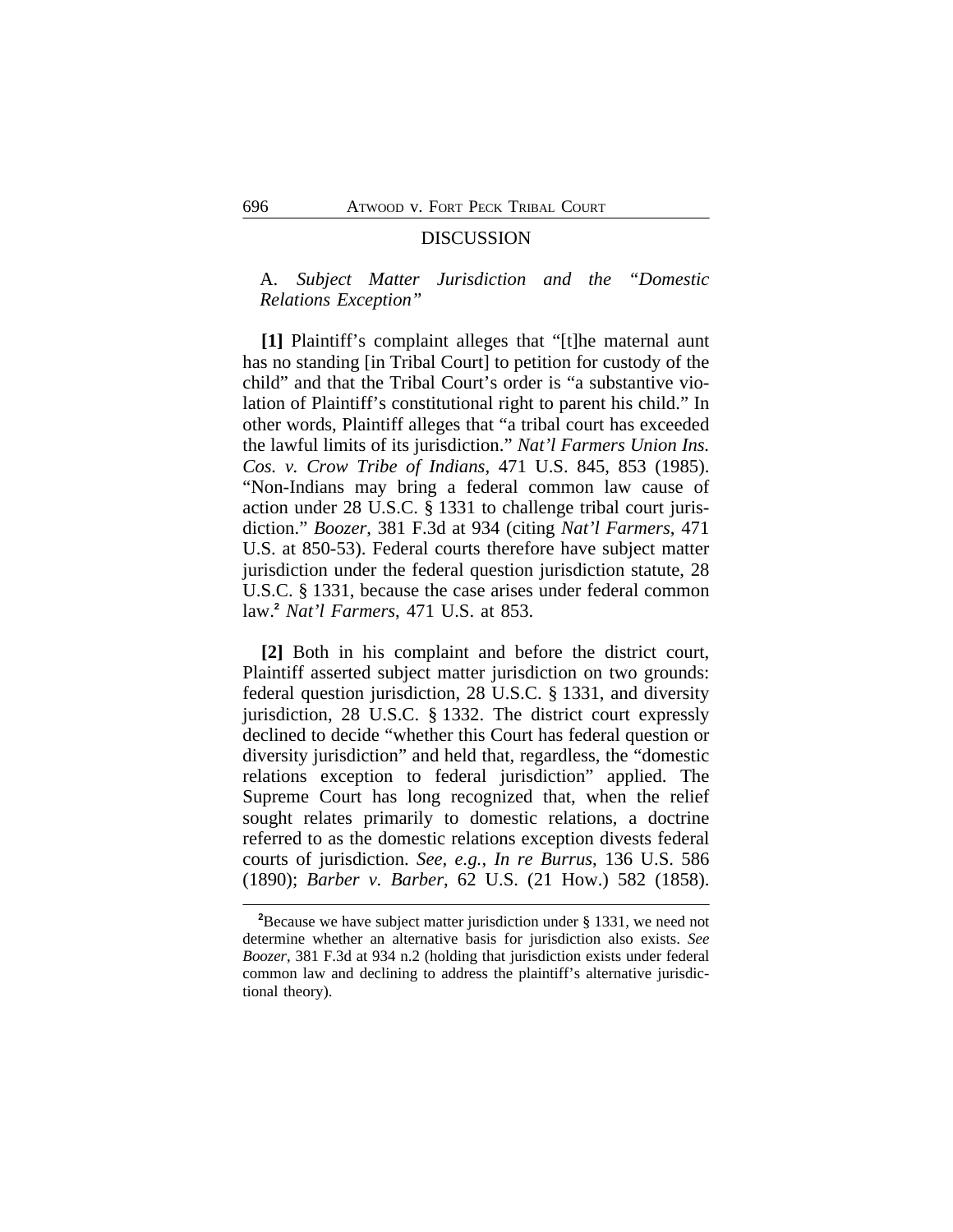#### DISCUSSION

## A. *Subject Matter Jurisdiction and the "Domestic Relations Exception"*

**[1]** Plaintiff's complaint alleges that "[t]he maternal aunt has no standing [in Tribal Court] to petition for custody of the child" and that the Tribal Court's order is "a substantive violation of Plaintiff's constitutional right to parent his child." In other words, Plaintiff alleges that "a tribal court has exceeded the lawful limits of its jurisdiction." *Nat'l Farmers Union Ins. Cos. v. Crow Tribe of Indians*, 471 U.S. 845, 853 (1985). "Non-Indians may bring a federal common law cause of action under 28 U.S.C. § 1331 to challenge tribal court jurisdiction." *Boozer*, 381 F.3d at 934 (citing *Nat'l Farmers*, 471 U.S. at 850-53). Federal courts therefore have subject matter jurisdiction under the federal question jurisdiction statute, 28 U.S.C. § 1331, because the case arises under federal common law.**<sup>2</sup>** *Nat'l Farmers*, 471 U.S. at 853.

**[2]** Both in his complaint and before the district court, Plaintiff asserted subject matter jurisdiction on two grounds: federal question jurisdiction, 28 U.S.C. § 1331, and diversity jurisdiction, 28 U.S.C. § 1332. The district court expressly declined to decide "whether this Court has federal question or diversity jurisdiction" and held that, regardless, the "domestic relations exception to federal jurisdiction" applied. The Supreme Court has long recognized that, when the relief sought relates primarily to domestic relations, a doctrine referred to as the domestic relations exception divests federal courts of jurisdiction. *See, e.g.*, *In re Burrus*, 136 U.S. 586 (1890); *Barber v. Barber*, 62 U.S. (21 How.) 582 (1858).

**<sup>2</sup>**Because we have subject matter jurisdiction under § 1331, we need not determine whether an alternative basis for jurisdiction also exists. *See Boozer*, 381 F.3d at 934 n.2 (holding that jurisdiction exists under federal common law and declining to address the plaintiff's alternative jurisdictional theory).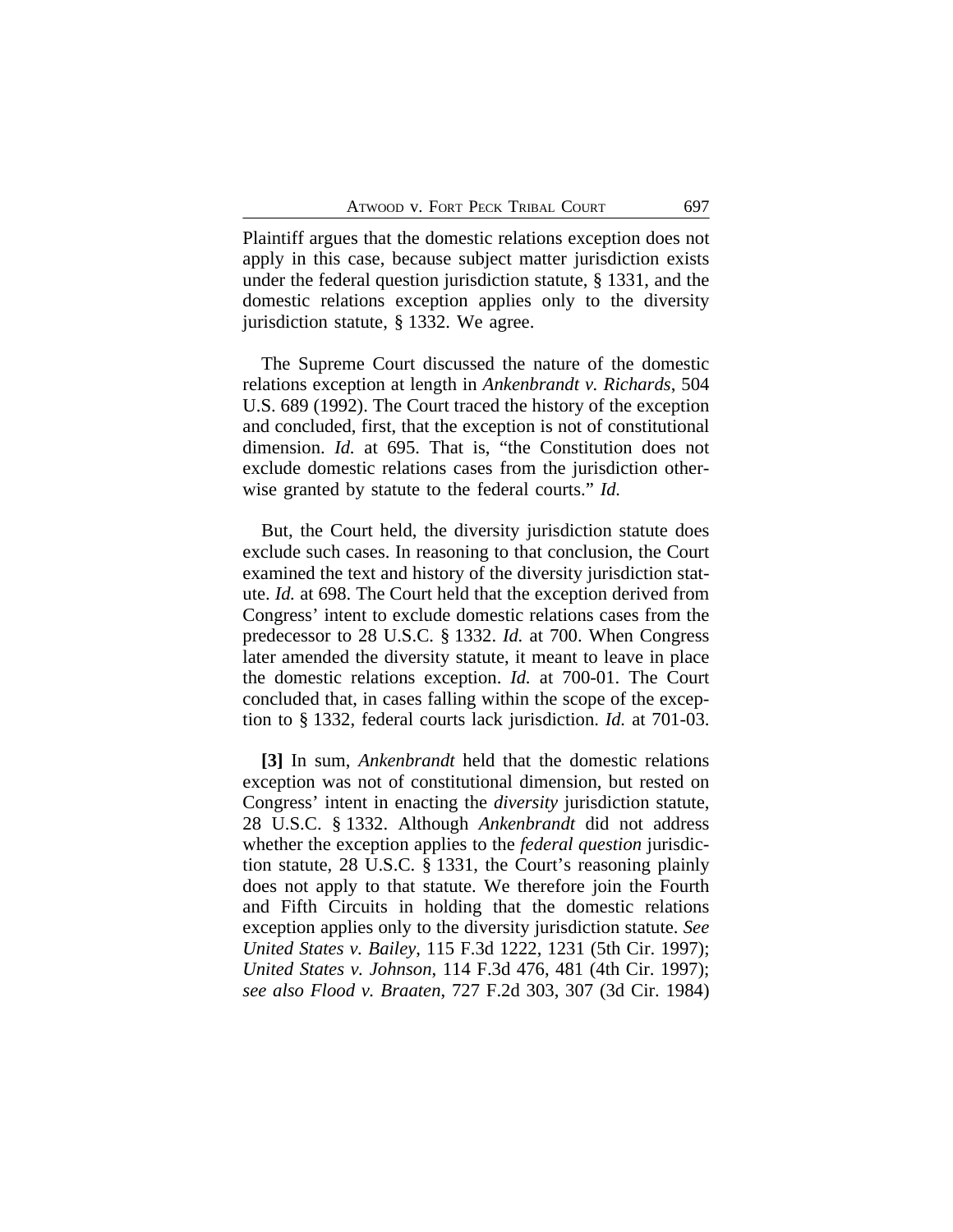Plaintiff argues that the domestic relations exception does not apply in this case, because subject matter jurisdiction exists under the federal question jurisdiction statute, § 1331, and the domestic relations exception applies only to the diversity jurisdiction statute, § 1332. We agree.

The Supreme Court discussed the nature of the domestic relations exception at length in *Ankenbrandt v. Richards*, 504 U.S. 689 (1992). The Court traced the history of the exception and concluded, first, that the exception is not of constitutional dimension. *Id.* at 695. That is, "the Constitution does not exclude domestic relations cases from the jurisdiction otherwise granted by statute to the federal courts." *Id.*

But, the Court held, the diversity jurisdiction statute does exclude such cases. In reasoning to that conclusion, the Court examined the text and history of the diversity jurisdiction statute. *Id.* at 698. The Court held that the exception derived from Congress' intent to exclude domestic relations cases from the predecessor to 28 U.S.C. § 1332. *Id.* at 700. When Congress later amended the diversity statute, it meant to leave in place the domestic relations exception. *Id.* at 700-01. The Court concluded that, in cases falling within the scope of the exception to § 1332, federal courts lack jurisdiction. *Id.* at 701-03.

**[3]** In sum, *Ankenbrandt* held that the domestic relations exception was not of constitutional dimension, but rested on Congress' intent in enacting the *diversity* jurisdiction statute, 28 U.S.C. § 1332. Although *Ankenbrandt* did not address whether the exception applies to the *federal question* jurisdiction statute, 28 U.S.C. § 1331, the Court's reasoning plainly does not apply to that statute. We therefore join the Fourth and Fifth Circuits in holding that the domestic relations exception applies only to the diversity jurisdiction statute. *See United States v. Bailey*, 115 F.3d 1222, 1231 (5th Cir. 1997); *United States v. Johnson*, 114 F.3d 476, 481 (4th Cir. 1997); *see also Flood v. Braaten*, 727 F.2d 303, 307 (3d Cir. 1984)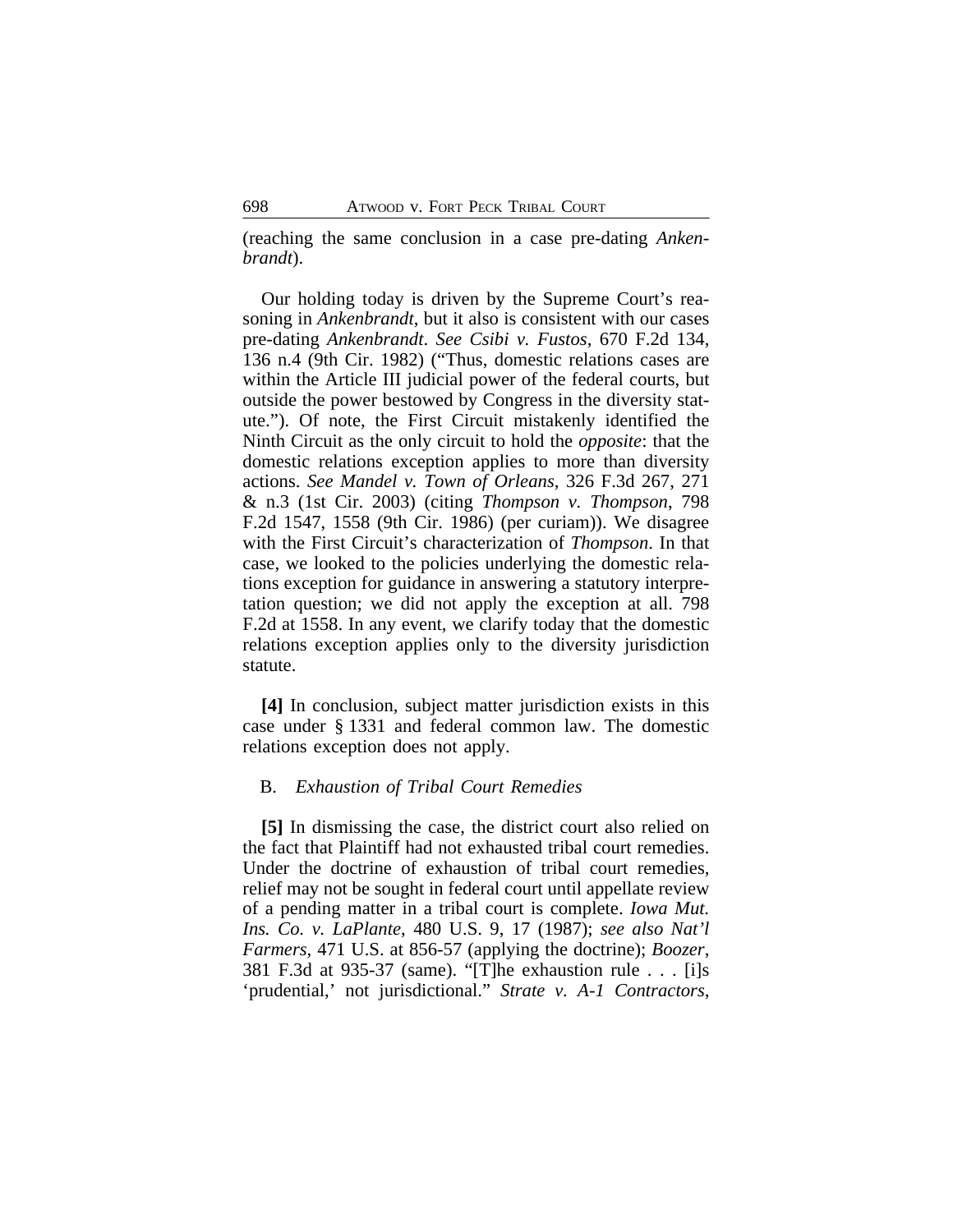(reaching the same conclusion in a case pre-dating *Ankenbrandt*).

Our holding today is driven by the Supreme Court's reasoning in *Ankenbrandt*, but it also is consistent with our cases pre-dating *Ankenbrandt*. *See Csibi v. Fustos*, 670 F.2d 134, 136 n.4 (9th Cir. 1982) ("Thus, domestic relations cases are within the Article III judicial power of the federal courts, but outside the power bestowed by Congress in the diversity statute."). Of note, the First Circuit mistakenly identified the Ninth Circuit as the only circuit to hold the *opposite*: that the domestic relations exception applies to more than diversity actions. *See Mandel v. Town of Orleans*, 326 F.3d 267, 271 & n.3 (1st Cir. 2003) (citing *Thompson v. Thompson*, 798 F.2d 1547, 1558 (9th Cir. 1986) (per curiam)). We disagree with the First Circuit's characterization of *Thompson*. In that case, we looked to the policies underlying the domestic relations exception for guidance in answering a statutory interpretation question; we did not apply the exception at all. 798 F.2d at 1558. In any event, we clarify today that the domestic relations exception applies only to the diversity jurisdiction statute.

**[4]** In conclusion, subject matter jurisdiction exists in this case under § 1331 and federal common law. The domestic relations exception does not apply.

#### B. *Exhaustion of Tribal Court Remedies*

**[5]** In dismissing the case, the district court also relied on the fact that Plaintiff had not exhausted tribal court remedies. Under the doctrine of exhaustion of tribal court remedies, relief may not be sought in federal court until appellate review of a pending matter in a tribal court is complete. *Iowa Mut. Ins. Co. v. LaPlante*, 480 U.S. 9, 17 (1987); *see also Nat'l Farmers*, 471 U.S. at 856-57 (applying the doctrine); *Boozer*, 381 F.3d at 935-37 (same). "[T]he exhaustion rule . . . [i]s 'prudential,' not jurisdictional." *Strate v. A-1 Contractors*,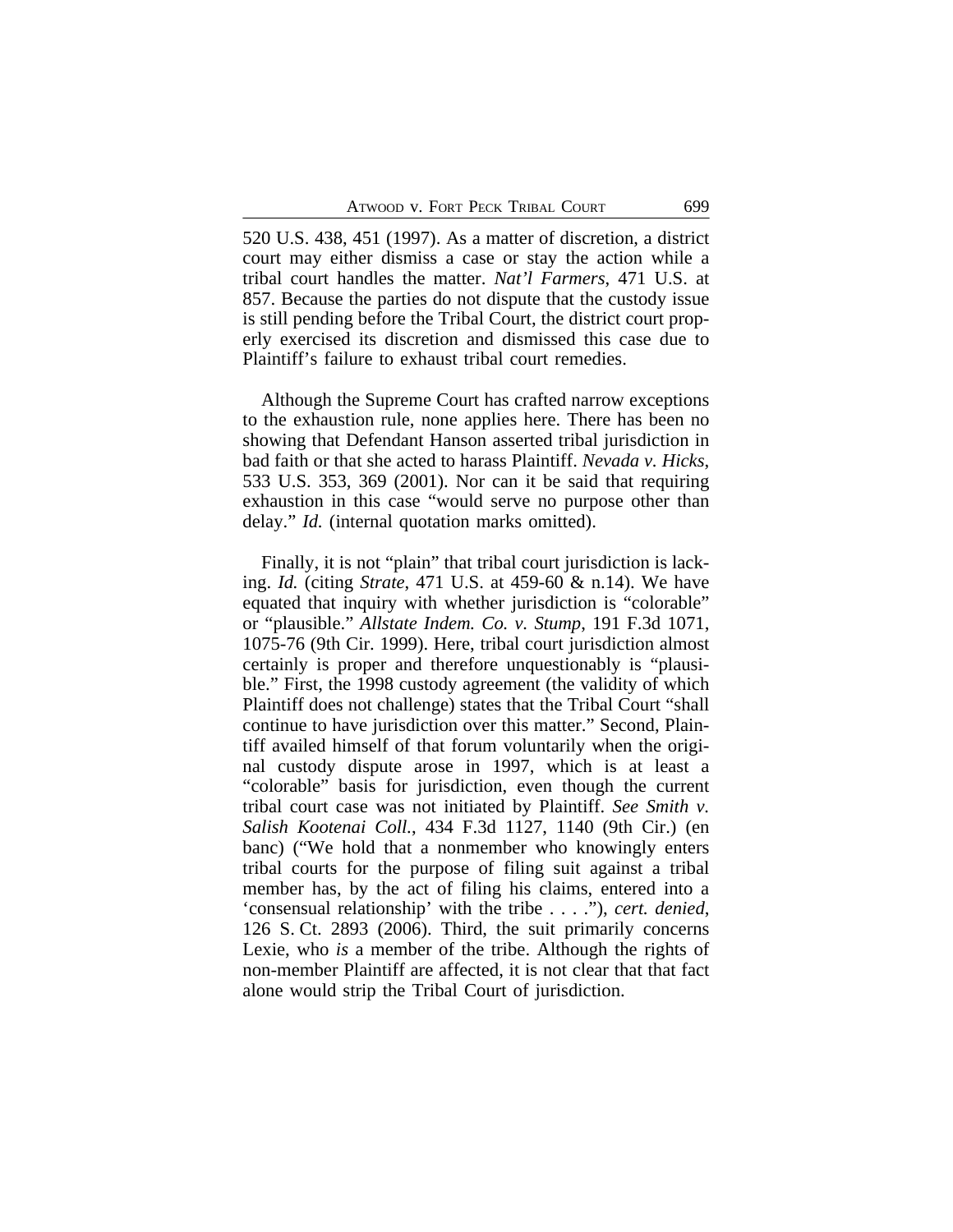520 U.S. 438, 451 (1997). As a matter of discretion, a district court may either dismiss a case or stay the action while a tribal court handles the matter. *Nat'l Farmers*, 471 U.S. at 857. Because the parties do not dispute that the custody issue is still pending before the Tribal Court, the district court properly exercised its discretion and dismissed this case due to Plaintiff's failure to exhaust tribal court remedies.

Although the Supreme Court has crafted narrow exceptions to the exhaustion rule, none applies here. There has been no showing that Defendant Hanson asserted tribal jurisdiction in bad faith or that she acted to harass Plaintiff. *Nevada v. Hicks*, 533 U.S. 353, 369 (2001). Nor can it be said that requiring exhaustion in this case "would serve no purpose other than delay." *Id.* (internal quotation marks omitted).

Finally, it is not "plain" that tribal court jurisdiction is lacking. *Id.* (citing *Strate*, 471 U.S. at 459-60 & n.14). We have equated that inquiry with whether jurisdiction is "colorable" or "plausible." *Allstate Indem. Co. v. Stump*, 191 F.3d 1071, 1075-76 (9th Cir. 1999). Here, tribal court jurisdiction almost certainly is proper and therefore unquestionably is "plausible." First, the 1998 custody agreement (the validity of which Plaintiff does not challenge) states that the Tribal Court "shall continue to have jurisdiction over this matter." Second, Plaintiff availed himself of that forum voluntarily when the original custody dispute arose in 1997, which is at least a "colorable" basis for jurisdiction, even though the current tribal court case was not initiated by Plaintiff. *See Smith v. Salish Kootenai Coll.*, 434 F.3d 1127, 1140 (9th Cir.) (en banc) ("We hold that a nonmember who knowingly enters tribal courts for the purpose of filing suit against a tribal member has, by the act of filing his claims, entered into a 'consensual relationship' with the tribe . . . ."), *cert. denied*, 126 S. Ct. 2893 (2006). Third, the suit primarily concerns Lexie, who *is* a member of the tribe. Although the rights of non-member Plaintiff are affected, it is not clear that that fact alone would strip the Tribal Court of jurisdiction.